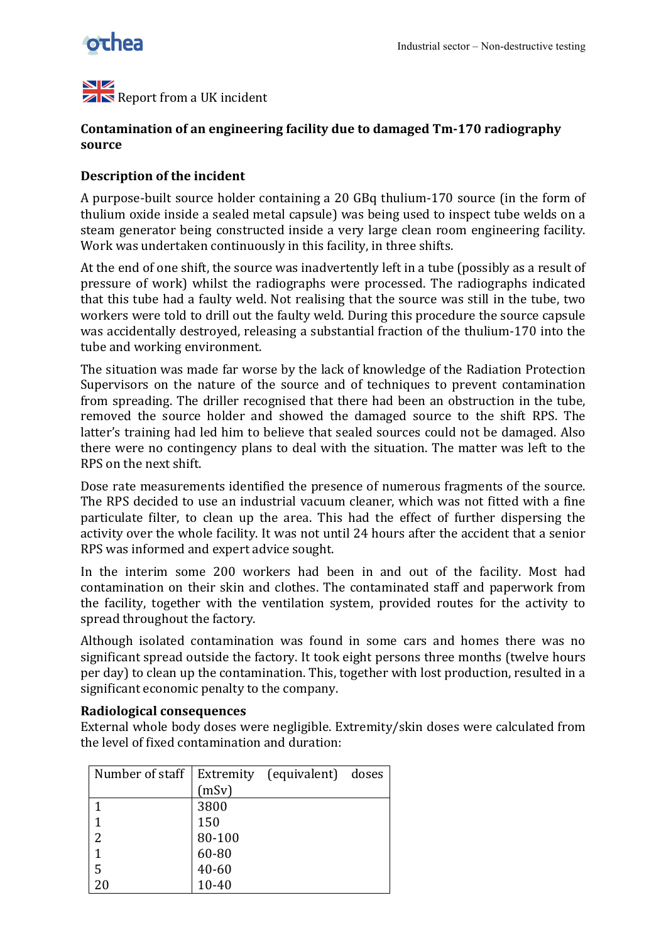

NZ  $\mathbb{Z}$  Report from a UK incident

## Contamination of an engineering facility due to damaged Tm-170 radiography **source!**

## **Description of the incident**

A purpose-built source holder containing a 20 GBq thulium-170 source (in the form of thulium oxide inside a sealed metal capsule) was being used to inspect tube welds on a steam generator being constructed inside a very large clean room engineering facility. Work was undertaken continuously in this facility, in three shifts.

At the end of one shift, the source was inadvertently left in a tube (possibly as a result of pressure of work) whilst the radiographs were processed. The radiographs indicated that this tube had a faulty weld. Not realising that the source was still in the tube, two workers' were told to drill out the faulty weld. During this procedure the source capsule was accidentally destroyed, releasing a substantial fraction of the thulium-170 into the tube and working environment.

The situation was made far worse by the lack of knowledge of the Radiation Protection Supervisors on the nature of the source and of techniques to prevent contamination from spreading. The driller recognised that there had been an obstruction in the tube, removed the source holder and showed the damaged source to the shift RPS. The latter's training had led him to believe that sealed sources could not be damaged. Also there were no contingency plans to deal with the situation. The matter was left to the RPS on the next shift.

Dose rate measurements identified the presence of numerous fragments of the source. The RPS decided to use an industrial vacuum cleaner, which was not fitted with a fine particulate filter, to clean up the area. This had the effect of further dispersing the activity over the whole facility. It was not until 24 hours after the accident that a senior RPS was informed and expert advice sought.

In the interim some 200 workers had been in and out of the facility. Most had contamination' on their' skin' and' clothes.' The' contaminated' staff' and' paperwork' from' the facility, together with the ventilation system, provided routes for the activity to spread throughout the factory.

Although isolated contamination was found in some cars and homes there was no significant spread outside the factory. It took eight persons three months (twelve hours' per'day) to clean up the contamination. This, together with lost production, resulted in a significant economic penalty to the company.

## **Radiological!consequences**

External whole body doses were negligible. Extremity/skin doses were calculated from the level of fixed contamination and duration:

| Number of staff |           | Extremity (equivalent) doses |  |
|-----------------|-----------|------------------------------|--|
|                 | (mSv)     |                              |  |
| 1               | 3800      |                              |  |
| 1               | 150       |                              |  |
| 2               | 80-100    |                              |  |
| 1               | 60-80     |                              |  |
| 5               | 40-60     |                              |  |
|                 | $10 - 40$ |                              |  |